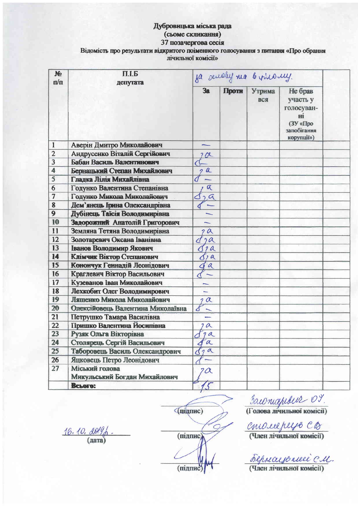## Дубровицька міська рада (сьоме скликання) 37 позачергова сесія Відомість про результати відкритого поіменного голосування з питання «Про обрання лічильної комісії»

| $\mathbf{M}$<br>$\mathbf{n}/\mathbf{n}$ | $\Pi$ .I. $\mathbf{E}$<br>депутата              | sa semaly ma b vinony.   |       |               |                                                                                  |  |
|-----------------------------------------|-------------------------------------------------|--------------------------|-------|---------------|----------------------------------------------------------------------------------|--|
|                                         |                                                 | 3a                       | Проти | Утрима<br>вся | Не брав<br>участь у<br>голосуван-<br>Hİ<br>(ЗУ «Про<br>запобігання<br>корупції») |  |
| $\mathbf{1}$                            | Аверін Дмитро Миколайович                       |                          |       |               |                                                                                  |  |
| $\overline{2}$                          | Андрусенко Віталій Сергійович                   | 201                      |       |               |                                                                                  |  |
| 3                                       | Бабан Василь Валентинович                       |                          |       |               |                                                                                  |  |
| $\overline{\mathbf{4}}$                 | Бернацький Степан Михайлович                    | $\frac{a}{1}$            |       |               |                                                                                  |  |
| 5                                       | Гладка Лілія Михайлівна                         |                          |       |               |                                                                                  |  |
| 6                                       | Годунко Валентина Степанівна                    | $\alpha$                 |       |               |                                                                                  |  |
| $\overline{7}$                          | Годунко Микола Миколайович                      | 29                       |       |               |                                                                                  |  |
| 8                                       | Дем'янець Грина Олександрівна                   |                          |       |               |                                                                                  |  |
| $\overline{9}$                          | Дубінець Таїсія Володимирівна                   |                          |       |               |                                                                                  |  |
| 10                                      | Задорожний Анатолій Григорович                  | ∼                        |       |               |                                                                                  |  |
| 11                                      | Земляна Тетяна Володимирівна                    | 2a                       |       |               |                                                                                  |  |
| 12                                      | Золотаревич Оксана Іванівна                     | 2a                       |       |               |                                                                                  |  |
| 13                                      | Іванов Володимир Якович                         | 2a                       |       |               |                                                                                  |  |
| 14                                      | Клімчик Віктор Степанович                       | d/a                      |       |               |                                                                                  |  |
| 15                                      | Конончук Геннадій Леонідович                    | $\alpha$                 |       |               |                                                                                  |  |
| 16                                      | Краглевич Віктор Васильович                     |                          |       |               |                                                                                  |  |
| 17                                      | Кузеванов Іван Миколайович                      |                          |       |               |                                                                                  |  |
| 18                                      | Лехкобит Олег Володимирович                     | m.                       |       |               |                                                                                  |  |
| 19                                      | Ляшенко Микола Миколайович                      | $2\alpha$                |       |               |                                                                                  |  |
| 20                                      | Олексійовець Валентина Миколаївна               |                          |       |               |                                                                                  |  |
| 21                                      | Петрушко Тамара Василівна                       |                          |       |               |                                                                                  |  |
| 22                                      | Пришко Валентина Йосипівна                      | 2a                       |       |               |                                                                                  |  |
| 23                                      | Рузяк Ольга Вікторівна                          | 9a                       |       |               |                                                                                  |  |
| 24                                      | Столярець Сергій Васильович                     | $\alpha$                 |       |               |                                                                                  |  |
| 25                                      | Таборовець Василь Олександрович                 | 2a<br>в                  |       |               |                                                                                  |  |
| 26                                      | Яцковець Петро Леонідович                       | $\overline{\phantom{0}}$ |       |               |                                                                                  |  |
| 27                                      | Міський голова<br>Микульський Богдан Михайлович | $2\alpha$                |       |               |                                                                                  |  |
|                                         | <b>BCLOTO:</b>                                  |                          |       |               |                                                                                  |  |

 $16.10.009$ 

(підпис) (підпис) (підпис)

SOLONICOPLOUR 07

 $\frac{CMO\text{LCl}}{DPO}$  (Член лічильної комісії)

Бермалю песе см.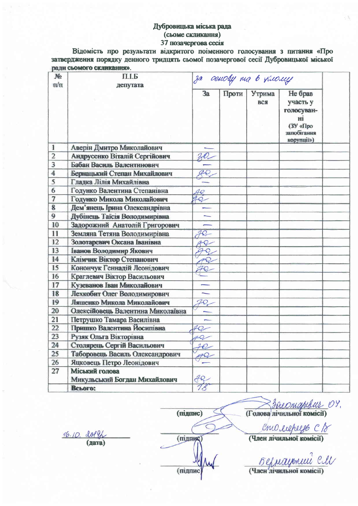## Дубровицька міська рада (сьоме скликання)

# 37 позачергова сесія

Відомість про результати відкритого поіменного голосування з питання «Про затвердження порядку денного тридцять сьомої позачергової сесії Дубровицької міської рали сьомого скликання».

| No<br>$\pi/\pi$ | П.І.Б<br>депутата                 | ja oeuoly na b ruouy     |       |               |                                                                                  |  |
|-----------------|-----------------------------------|--------------------------|-------|---------------|----------------------------------------------------------------------------------|--|
|                 |                                   | 3a                       | Проти | Утрима<br>вся | Не брав<br>участь у<br>голосуван-<br>Hİ<br>(ЗУ «Про<br>запобігання<br>корупції») |  |
| $\mathbf{1}$    | Аверін Дмитро Миколайович         |                          |       |               |                                                                                  |  |
| $\overline{2}$  | Андрусенко Віталій Сергійович     |                          |       |               |                                                                                  |  |
| 3               | Бабан Василь Валентинович         |                          |       |               |                                                                                  |  |
| 4               | Бернацький Степан Михайлович      |                          |       |               |                                                                                  |  |
| 5               | Гладка Лілія Михайлівна           |                          |       |               |                                                                                  |  |
| 6               | Годунко Валентина Степанівна      | 40                       |       |               |                                                                                  |  |
| $\overline{7}$  | Годунко Микола Миколайович        | $40-$                    |       |               |                                                                                  |  |
| $\bf{8}$        | Дем'янець Ірина Олександрівна     |                          |       |               |                                                                                  |  |
| 9               | Дубінець Таїсія Володимирівна     | $\overline{\phantom{0}}$ |       |               |                                                                                  |  |
| 10              | Задорожний Анатолій Григорович    |                          |       |               |                                                                                  |  |
| 11              | Земляна Тетяна Володимирівна      | $70-$                    |       |               |                                                                                  |  |
| 12              | Золотаревич Оксана Іванівна       | 4Q                       |       |               |                                                                                  |  |
| 13              | Іванов Володимир Якович           |                          |       |               |                                                                                  |  |
| 14              | Клімчик Віктор Степанович         | 40                       |       |               |                                                                                  |  |
| 15              | Конончук Геннадій Леонідович      |                          |       |               |                                                                                  |  |
| 16              | Краглевич Віктор Васильович       |                          |       |               |                                                                                  |  |
| 17              | Кузеванов Іван Миколайович        |                          |       |               |                                                                                  |  |
| 18              | Лехкобит Олег Володимирович       | $\overline{\phantom{0}}$ |       |               |                                                                                  |  |
| 19              | Ляшенко Микола Миколайович        | 70,                      |       |               |                                                                                  |  |
| 20              | Олексійовець Валентина Миколаївна |                          |       |               |                                                                                  |  |
| 21              | Петрушко Тамара Василівна         |                          |       |               |                                                                                  |  |
| 22              | Пришко Валентина Йосипівна        | $40-$                    |       |               |                                                                                  |  |
| 23              | Рузяк Ольга Вікторівна            | $10 -$                   |       |               |                                                                                  |  |
| 24              | Столярець Сергій Васильович       | 20                       |       |               |                                                                                  |  |
| 25              | Таборовець Василь Олександрович   |                          |       |               |                                                                                  |  |
| 26              | Яцковець Петро Леонідович         |                          |       |               |                                                                                  |  |
| 27              | Міський голова                    |                          |       |               |                                                                                  |  |
|                 | Микульський Богдан Михайлович     | R                        |       |               |                                                                                  |  |
|                 | Всього:                           | 18                       |       |               |                                                                                  |  |

16.10. 201 (дата)

(підпик (підпис

(підпис)

**Sheomaphtul** 09.

CNU cupeye CB

Берлауокий CU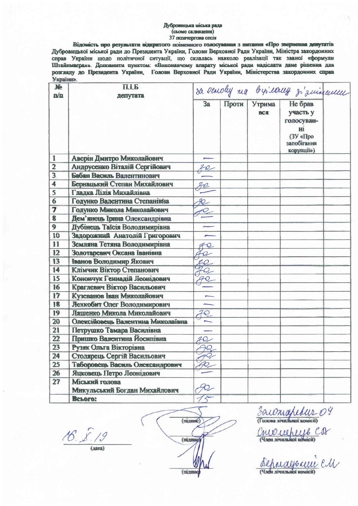#### Дубровнцыха міська рада (сьоме скликання) 37 позачергова сесія

Відомість про результати відкритого поіменного голосування з нитання «Про звернення депутатів Дубровицької міської ради до Президента України, Голови Верховної Ради України, Міністра закордонних справ України щодо політичної ситуації, що склалась навколо реалізації так званої «формули Штайнывера»». Доповнити пунктом: «Виконавчому апарату міської ради надіслати дане рішення для розгляду до Президента України, Голови Верховної Ради України, Міністерства закордонних справ **України»**.

| Ne<br>n/n               | <b>ITTP</b><br>депутата                         |                 | sa earoly ma bysearry z'aminement |               |                                                                                  |  |
|-------------------------|-------------------------------------------------|-----------------|-----------------------------------|---------------|----------------------------------------------------------------------------------|--|
|                         |                                                 | 3a              | Проти                             | Утрима<br>вся | Не брав<br>участь у<br>голосуван-<br>HI<br>(3Y «Про<br>запобігання<br>корупції») |  |
| 1                       | Аверін Дмитро Миколайович                       |                 |                                   |               |                                                                                  |  |
| $\overline{2}$          | Андрусенко Віталій Сергійович                   |                 |                                   |               |                                                                                  |  |
| $\overline{\mathbf{3}}$ | Бабан Василь Валентинович                       |                 |                                   |               |                                                                                  |  |
| 4                       | Бернацький Степан Михайлович                    |                 |                                   |               |                                                                                  |  |
| 5                       | Гладка Лілія Михайлівна                         |                 |                                   |               |                                                                                  |  |
| $6\phantom{1}6$         | Годунко Валентина Степанівна                    | $R_{-}$         |                                   |               |                                                                                  |  |
| 7                       | Годунко Микола Миколайович                      |                 |                                   |               |                                                                                  |  |
| 8                       | Дем'янець Ірина Олександрівна                   |                 |                                   |               |                                                                                  |  |
| 9                       | Дубінець Таїсія Володимирівна                   |                 |                                   |               |                                                                                  |  |
| 10                      | Задорожний Анатолій Григорович                  |                 |                                   |               |                                                                                  |  |
| 11                      | Земляна Тетяна Володимирівна                    | $\varphi$       |                                   |               |                                                                                  |  |
| 12                      | Золотаревич Оксана Іванівна                     |                 |                                   |               |                                                                                  |  |
| 13                      | Іванов Володимир Якович                         | $\mathcal{Q}_-$ |                                   |               |                                                                                  |  |
| 14                      | Клімчик Віктор Степанович                       |                 |                                   |               |                                                                                  |  |
| 15                      | Конончук Геннадій Леонідович                    |                 |                                   |               |                                                                                  |  |
| 16                      | Краглевич Віктор Васильович                     |                 |                                   |               |                                                                                  |  |
| 17                      | Кузеванов Іван Миколайович                      |                 |                                   |               |                                                                                  |  |
| 18                      | Лехкобит Олег Володимирович                     |                 |                                   |               |                                                                                  |  |
| 19                      | Ляшенко Микола Миколайович                      |                 |                                   |               |                                                                                  |  |
| 20                      | Олексійовець Валентина Миколаївна               |                 |                                   |               |                                                                                  |  |
| 21                      | Петрушко Тамара Василівна                       |                 |                                   |               |                                                                                  |  |
| 22                      | Пришко Валентина Йосипівна                      | $40-$           |                                   |               |                                                                                  |  |
| 23                      | Рузяк Ольга Вікторівна                          | $\mathcal{R}$   |                                   |               |                                                                                  |  |
| 24                      | Столярець Сергій Васильович                     |                 |                                   |               |                                                                                  |  |
| 25                      | Таборовець Василь Олександрович                 |                 |                                   |               |                                                                                  |  |
| 26                      | Яцковець Петро Леонідович                       |                 |                                   |               |                                                                                  |  |
| 27                      | Міський голова<br>Микульський Богдан Михайлович |                 |                                   |               |                                                                                  |  |
|                         | <b>BCLOFO:</b>                                  |                 |                                   |               |                                                                                  |  |

16. X.

 $(<sub>ATa</sub>)$ 

 $(m<sub>ATH</sub>)$ (migmu (mixmuc

30 comaplebur 04 MOUULLUS CD

Sepragosui en (Член лічнимий комісії)